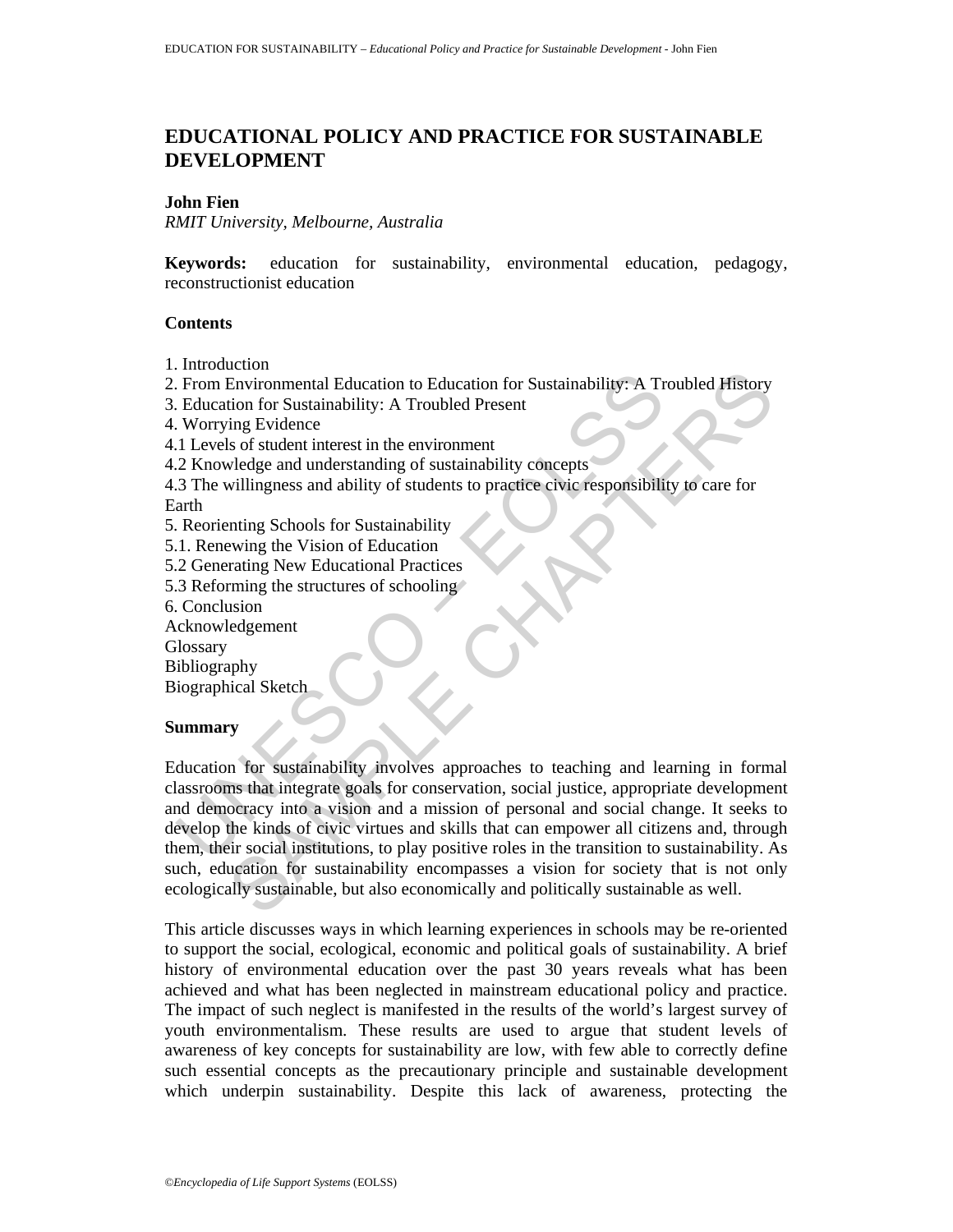# **EDUCATIONAL POLICY AND PRACTICE FOR SUSTAINABLE DEVELOPMENT**

## **John Fien**

*RMIT University, Melbourne, Australia* 

**Keywords:** education for sustainability, environmental education, pedagogy, reconstructionist education

### **Contents**

- 1. Introduction
- 2. From Environmental Education to Education for Sustainability: A Troubled History
- 3. Education for Sustainability: A Troubled Present
- 4. Worrying Evidence
- 4.1 Levels of student interest in the environment
- 4.2 Knowledge and understanding of sustainability concepts
- 4.3 The willingness and ability of students to practice civic responsibility to care for Earth
- 5. Reorienting Schools for Sustainability
- 5.1. Renewing the Vision of Education
- 5.2 Generating New Educational Practices
- 5.3 Reforming the structures of schooling
- 6. Conclusion
- Acknowledgement

**Glossary** 

Bibliography

Biographical Sketch

# **Summary**

From Environmental Education to Education for Sustainability: A Transmitted From Environmental Education for Sustainability: A Troubled Present<br>
Uncerso of student interest in the environment<br>
2. X howledge and understandi Continent Education to Education for Sustainability: A Troubled History<br>
Environmental Education to Education for Sustainability: A Troubled History<br>
ing Evidence<br>
so for student interest in the environment<br>
when the Visio Education for sustainability involves approaches to teaching and learning in formal classrooms that integrate goals for conservation, social justice, appropriate development and democracy into a vision and a mission of personal and social change. It seeks to develop the kinds of civic virtues and skills that can empower all citizens and, through them, their social institutions, to play positive roles in the transition to sustainability. As such, education for sustainability encompasses a vision for society that is not only ecologically sustainable, but also economically and politically sustainable as well.

This article discusses ways in which learning experiences in schools may be re-oriented to support the social, ecological, economic and political goals of sustainability. A brief history of environmental education over the past 30 years reveals what has been achieved and what has been neglected in mainstream educational policy and practice. The impact of such neglect is manifested in the results of the world's largest survey of youth environmentalism. These results are used to argue that student levels of awareness of key concepts for sustainability are low, with few able to correctly define such essential concepts as the precautionary principle and sustainable development which underpin sustainability. Despite this lack of awareness, protecting the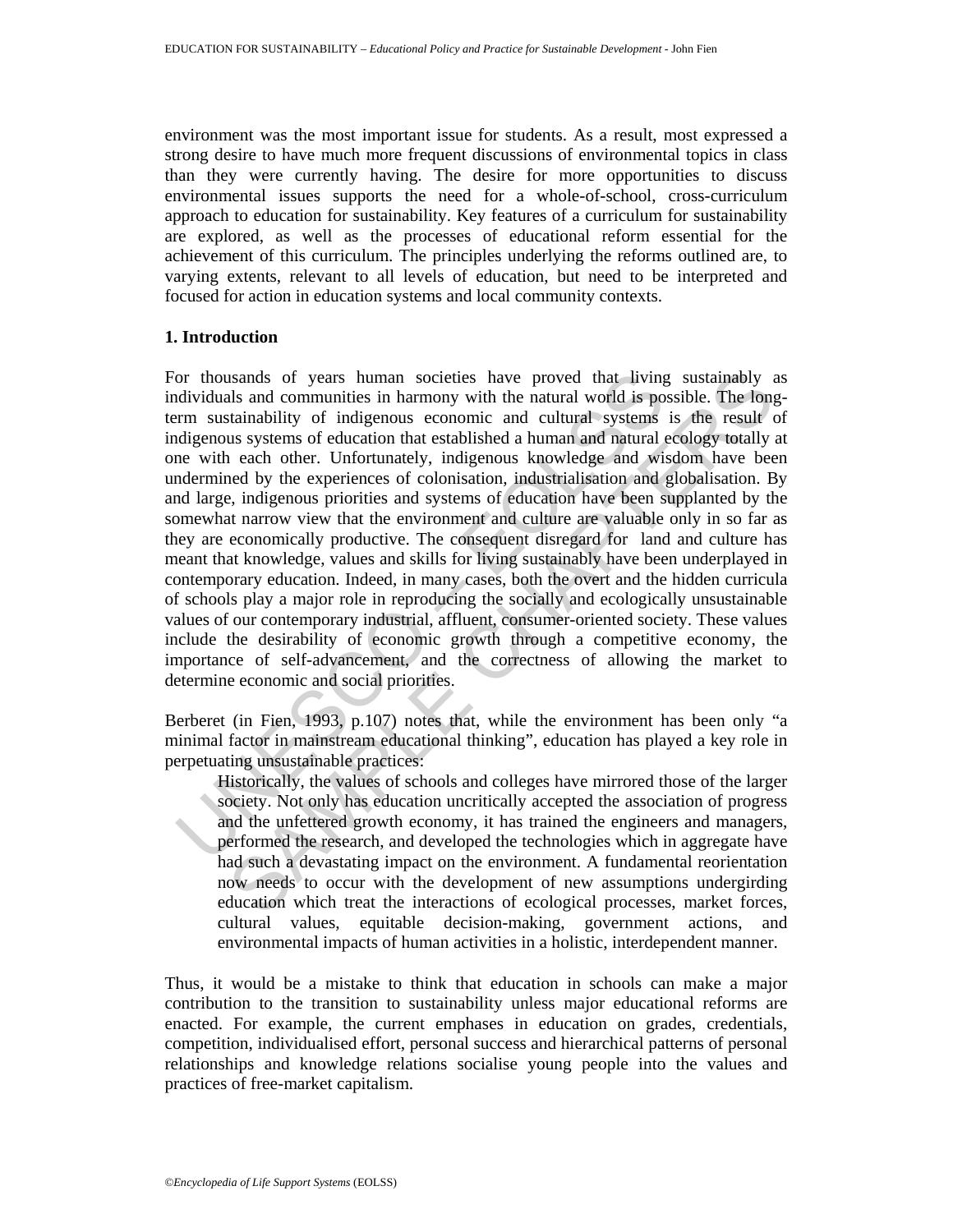environment was the most important issue for students. As a result, most expressed a strong desire to have much more frequent discussions of environmental topics in class than they were currently having. The desire for more opportunities to discuss environmental issues supports the need for a whole-of-school, cross-curriculum approach to education for sustainability. Key features of a curriculum for sustainability are explored, as well as the processes of educational reform essential for the achievement of this curriculum. The principles underlying the reforms outlined are, to varying extents, relevant to all levels of education, but need to be interpreted and focused for action in education systems and local community contexts.

### **1. Introduction**

or thousands of years human societies have proved that living<br>dividuals and communities in harmony with the natural world is po<br>rm sustainability of indigenous economic and cultural systems<br>net alternation differences are asands of years human societies have proved that living sustainably as<br>slands of years human ioncities in harmony with the natural world is possible. The fong<br>atstainability of indigenous economic and cultural systems is t For thousands of years human societies have proved that living sustainably as individuals and communities in harmony with the natural world is possible. The longterm sustainability of indigenous economic and cultural systems is the result of indigenous systems of education that established a human and natural ecology totally at one with each other. Unfortunately, indigenous knowledge and wisdom have been undermined by the experiences of colonisation, industrialisation and globalisation. By and large, indigenous priorities and systems of education have been supplanted by the somewhat narrow view that the environment and culture are valuable only in so far as they are economically productive. The consequent disregard for land and culture has meant that knowledge, values and skills for living sustainably have been underplayed in contemporary education. Indeed, in many cases, both the overt and the hidden curricula of schools play a major role in reproducing the socially and ecologically unsustainable values of our contemporary industrial, affluent, consumer-oriented society. These values include the desirability of economic growth through a competitive economy, the importance of self-advancement, and the correctness of allowing the market to determine economic and social priorities.

Berberet (in Fien, 1993, p.107) notes that, while the environment has been only "a minimal factor in mainstream educational thinking", education has played a key role in perpetuating unsustainable practices:

Historically, the values of schools and colleges have mirrored those of the larger society. Not only has education uncritically accepted the association of progress and the unfettered growth economy, it has trained the engineers and managers, performed the research, and developed the technologies which in aggregate have had such a devastating impact on the environment. A fundamental reorientation now needs to occur with the development of new assumptions undergirding education which treat the interactions of ecological processes, market forces, cultural values, equitable decision-making, government actions, and environmental impacts of human activities in a holistic, interdependent manner.

Thus, it would be a mistake to think that education in schools can make a major contribution to the transition to sustainability unless major educational reforms are enacted. For example, the current emphases in education on grades, credentials, competition, individualised effort, personal success and hierarchical patterns of personal relationships and knowledge relations socialise young people into the values and practices of free-market capitalism.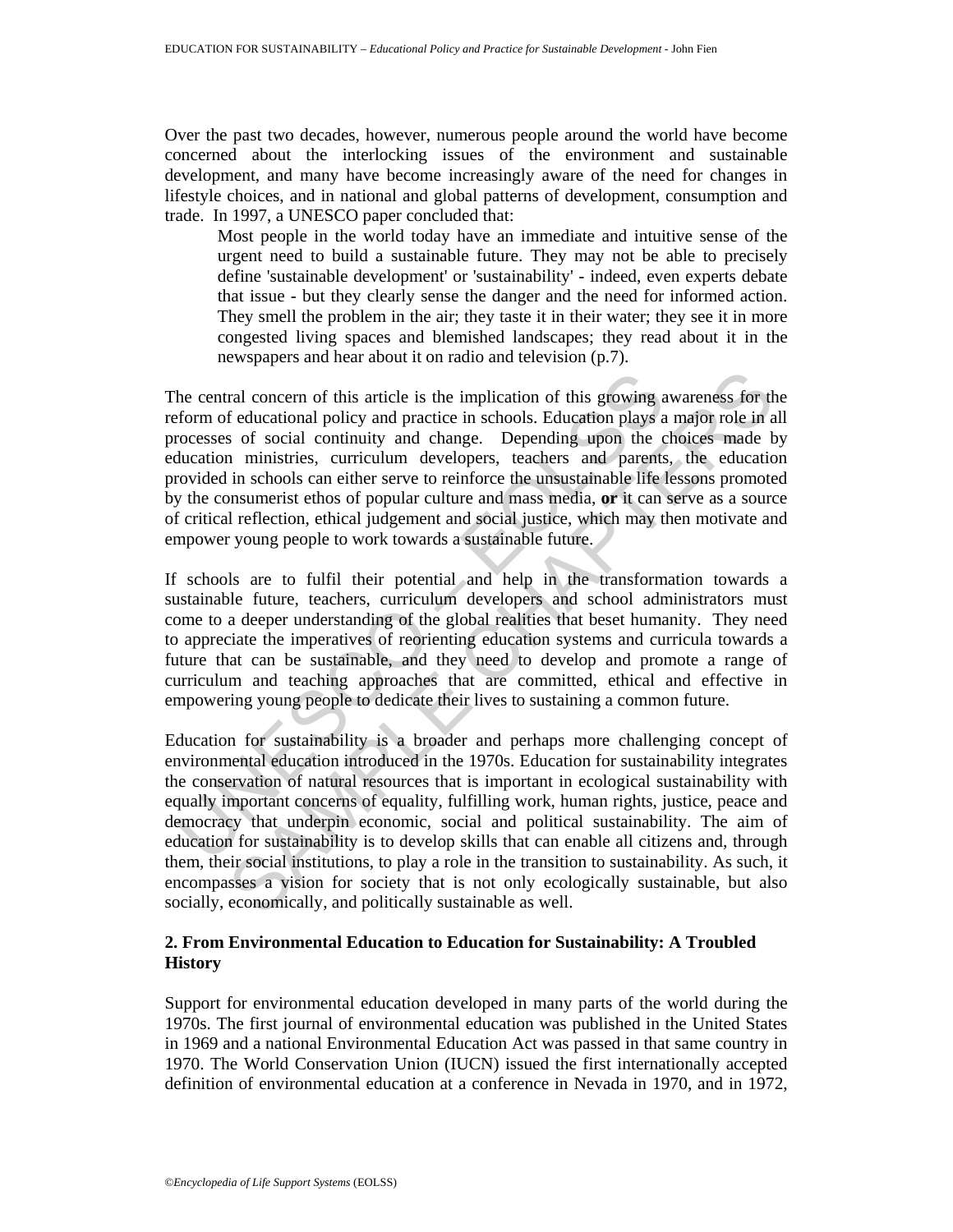Over the past two decades, however, numerous people around the world have become concerned about the interlocking issues of the environment and sustainable development, and many have become increasingly aware of the need for changes in lifestyle choices, and in national and global patterns of development, consumption and trade. In 1997, a UNESCO paper concluded that:

Most people in the world today have an immediate and intuitive sense of the urgent need to build a sustainable future. They may not be able to precisely define 'sustainable development' or 'sustainability' - indeed, even experts debate that issue - but they clearly sense the danger and the need for informed action. They smell the problem in the air; they taste it in their water; they see it in more congested living spaces and blemished landscapes; they read about it in the newspapers and hear about it on radio and television (p.7).

he central concern of this article is the implication of this growing a<br>form of educational policy and practice in schools. Education plays a<br>rocesses of social continuity and change. Depending upon the c<br>ducation ministri The central concern of this article is the implication of this growing awareness for the reform of educational policy and practice in schools. Education plays a major role in all processes of social continuity and change. Depending upon the choices made by education ministries, curriculum developers, teachers and parents, the education provided in schools can either serve to reinforce the unsustainable life lessons promoted by the consumerist ethos of popular culture and mass media, **or** it can serve as a source of critical reflection, ethical judgement and social justice, which may then motivate and empower young people to work towards a sustainable future.

If schools are to fulfil their potential and help in the transformation towards a sustainable future, teachers, curriculum developers and school administrators must come to a deeper understanding of the global realities that beset humanity. They need to appreciate the imperatives of reorienting education systems and curricula towards a future that can be sustainable, and they need to develop and promote a range of curriculum and teaching approaches that are committed, ethical and effective in empowering young people to dedicate their lives to sustaining a common future.

ral concern of this article is the implication of this growing awareness for the ducational policy and practice in schools. Education plays a major role in a of social continuity and change. Depending upon the choices made Education for sustainability is a broader and perhaps more challenging concept of environmental education introduced in the 1970s. Education for sustainability integrates the conservation of natural resources that is important in ecological sustainability with equally important concerns of equality, fulfilling work, human rights, justice, peace and democracy that underpin economic, social and political sustainability. The aim of education for sustainability is to develop skills that can enable all citizens and, through them, their social institutions, to play a role in the transition to sustainability. As such, it encompasses a vision for society that is not only ecologically sustainable, but also socially, economically, and politically sustainable as well.

# **2. From Environmental Education to Education for Sustainability: A Troubled History**

Support for environmental education developed in many parts of the world during the 1970s. The first journal of environmental education was published in the United States in 1969 and a national Environmental Education Act was passed in that same country in 1970. The World Conservation Union (IUCN) issued the first internationally accepted definition of environmental education at a conference in Nevada in 1970, and in 1972,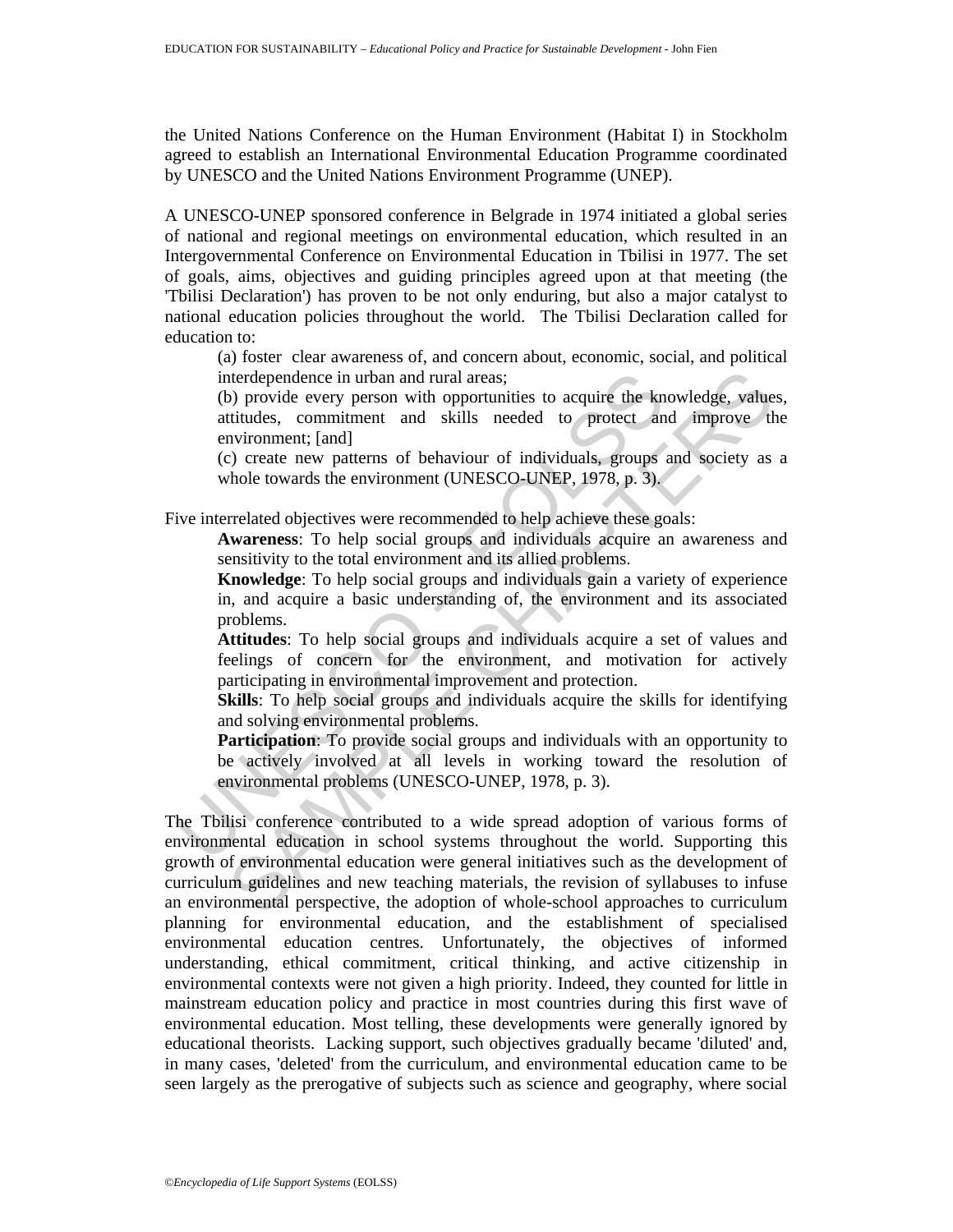the United Nations Conference on the Human Environment (Habitat I) in Stockholm agreed to establish an International Environmental Education Programme coordinated by UNESCO and the United Nations Environment Programme (UNEP).

A UNESCO-UNEP sponsored conference in Belgrade in 1974 initiated a global series of national and regional meetings on environmental education, which resulted in an Intergovernmental Conference on Environmental Education in Tbilisi in 1977. The set of goals, aims, objectives and guiding principles agreed upon at that meeting (the 'Tbilisi Declaration') has proven to be not only enduring, but also a major catalyst to national education policies throughout the world. The Tbilisi Declaration called for education to:

(a) foster clear awareness of, and concern about, economic, social, and political interdependence in urban and rural areas;

(b) provide every person with opportunities to acquire the knowledge, values, attitudes, commitment and skills needed to protect and improve the environment; [and]

(c) create new patterns of behaviour of individuals, groups and society as a whole towards the environment (UNESCO-UNEP, 1978, p. 3).

Five interrelated objectives were recommended to help achieve these goals:

**Awareness**: To help social groups and individuals acquire an awareness and sensitivity to the total environment and its allied problems.

**Knowledge**: To help social groups and individuals gain a variety of experience in, and acquire a basic understanding of, the environment and its associated problems.

**Attitudes**: To help social groups and individuals acquire a set of values and feelings of concern for the environment, and motivation for actively participating in environmental improvement and protection.

**Skills**: To help social groups and individuals acquire the skills for identifying and solving environmental problems.

interdependence in urban and rural areas;<br>
(b) provide every person with opportunities to acquire the kn<br>
attitudes, committent and skills needed to protect an<br>
environment; [and]<br>
(c) create new patterns of behaviour of i **Participation**: To provide social groups and individuals with an opportunity to be actively involved at all levels in working toward the resolution of environmental problems (UNESCO-UNEP, 1978, p. 3).

therdependence in urban and rural areas;<br>
o) provide every person with opportunities to acquire the knowledge, value<br>
tititudes, commitment and skills needed to protect and improve the<br>
nvironment; [and]<br>
c) create new pat The Tbilisi conference contributed to a wide spread adoption of various forms of environmental education in school systems throughout the world. Supporting this growth of environmental education were general initiatives such as the development of curriculum guidelines and new teaching materials, the revision of syllabuses to infuse an environmental perspective, the adoption of whole-school approaches to curriculum planning for environmental education, and the establishment of specialised environmental education centres. Unfortunately, the objectives of informed understanding, ethical commitment, critical thinking, and active citizenship in environmental contexts were not given a high priority. Indeed, they counted for little in mainstream education policy and practice in most countries during this first wave of environmental education. Most telling, these developments were generally ignored by educational theorists. Lacking support, such objectives gradually became 'diluted' and, in many cases, 'deleted' from the curriculum, and environmental education came to be seen largely as the prerogative of subjects such as science and geography, where social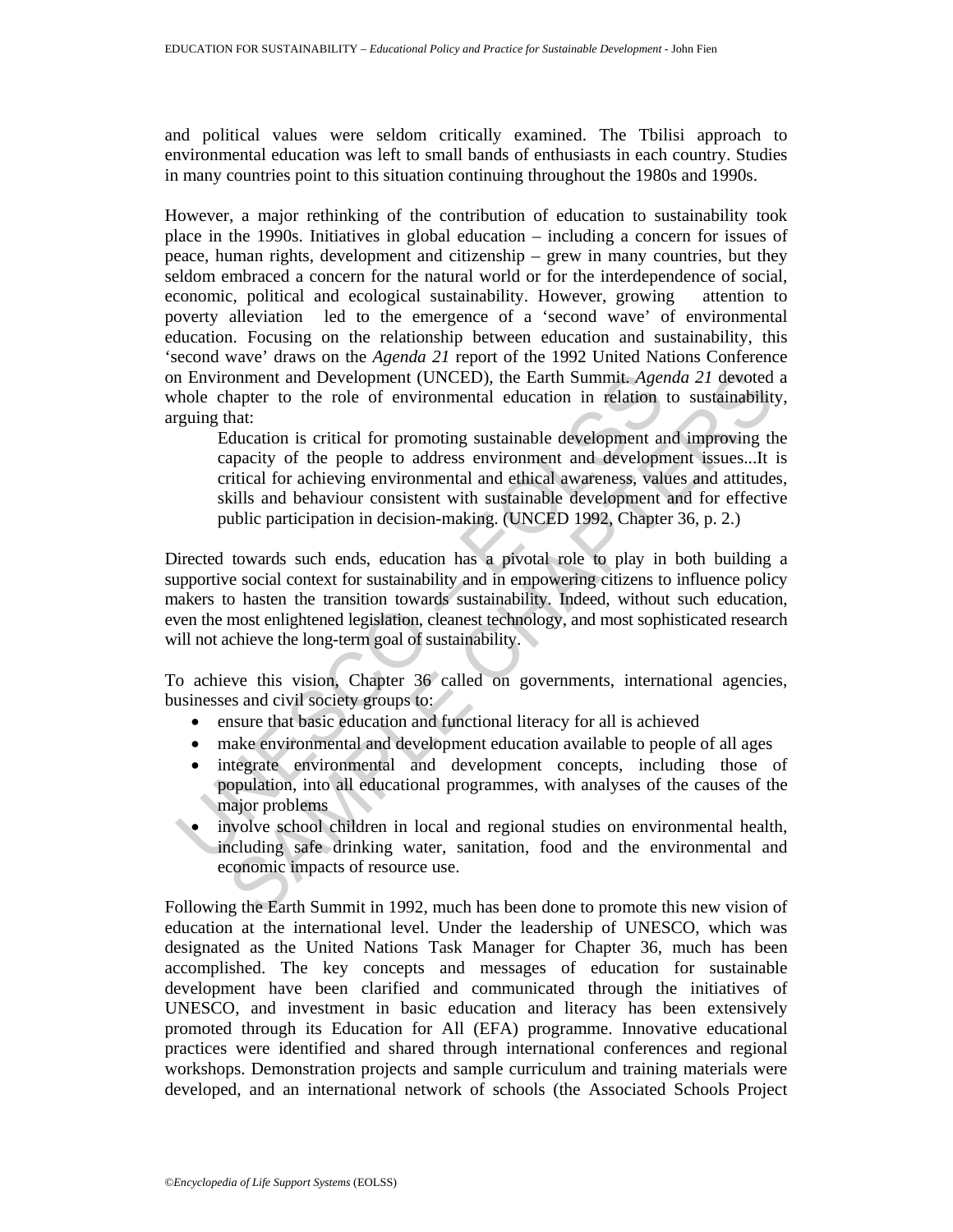and political values were seldom critically examined. The Tbilisi approach to environmental education was left to small bands of enthusiasts in each country. Studies in many countries point to this situation continuing throughout the 1980s and 1990s.

However, a major rethinking of the contribution of education to sustainability took place in the 1990s. Initiatives in global education – including a concern for issues of peace, human rights, development and citizenship – grew in many countries, but they seldom embraced a concern for the natural world or for the interdependence of social, economic, political and ecological sustainability. However, growing attention to poverty alleviation led to the emergence of a 'second wave' of environmental education. Focusing on the relationship between education and sustainability, this 'second wave' draws on the *Agenda 21* report of the 1992 United Nations Conference on Environment and Development (UNCED), the Earth Summit. *Agenda 21* devoted a whole chapter to the role of environmental education in relation to sustainability, arguing that:

omment and Development (UNCED), the Earth Summit. *Agenda* 21 devoted<br>naptic to the role of environmental education in relation to sustainability<br>hat:<br>thus that:<br>thus distributed for promoting sustainable development and i Education is critical for promoting sustainable development and improving the capacity of the people to address environment and development issues...It is critical for achieving environmental and ethical awareness, values and attitudes, skills and behaviour consistent with sustainable development and for effective public participation in decision-making. (UNCED 1992, Chapter 36, p. 2.)

In Environment and Development (UNCED), the Earth Summit. Ager<br>hole chapter to the role of environmental education in relation<br>guing that:<br>Equation is critical for promoting sustainable development are<br>acaity of the peopl Directed towards such ends, education has a pivotal role to play in both building a supportive social context for sustainability and in empowering citizens to influence policy makers to hasten the transition towards sustainability. Indeed, without such education, even the most enlightened legislation, cleanest technology, and most sophisticated research will not achieve the long-term goal of sustainability.

To achieve this vision, Chapter 36 called on governments, international agencies, businesses and civil society groups to:

- ensure that basic education and functional literacy for all is achieved
- make environmental and development education available to people of all ages
- integrate environmental and development concepts, including those of population, into all educational programmes, with analyses of the causes of the major problems
- involve school children in local and regional studies on environmental health, including safe drinking water, sanitation, food and the environmental and economic impacts of resource use.

Following the Earth Summit in 1992, much has been done to promote this new vision of education at the international level. Under the leadership of UNESCO, which was designated as the United Nations Task Manager for Chapter 36, much has been accomplished. The key concepts and messages of education for sustainable development have been clarified and communicated through the initiatives of UNESCO, and investment in basic education and literacy has been extensively promoted through its Education for All (EFA) programme. Innovative educational practices were identified and shared through international conferences and regional workshops. Demonstration projects and sample curriculum and training materials were developed, and an international network of schools (the Associated Schools Project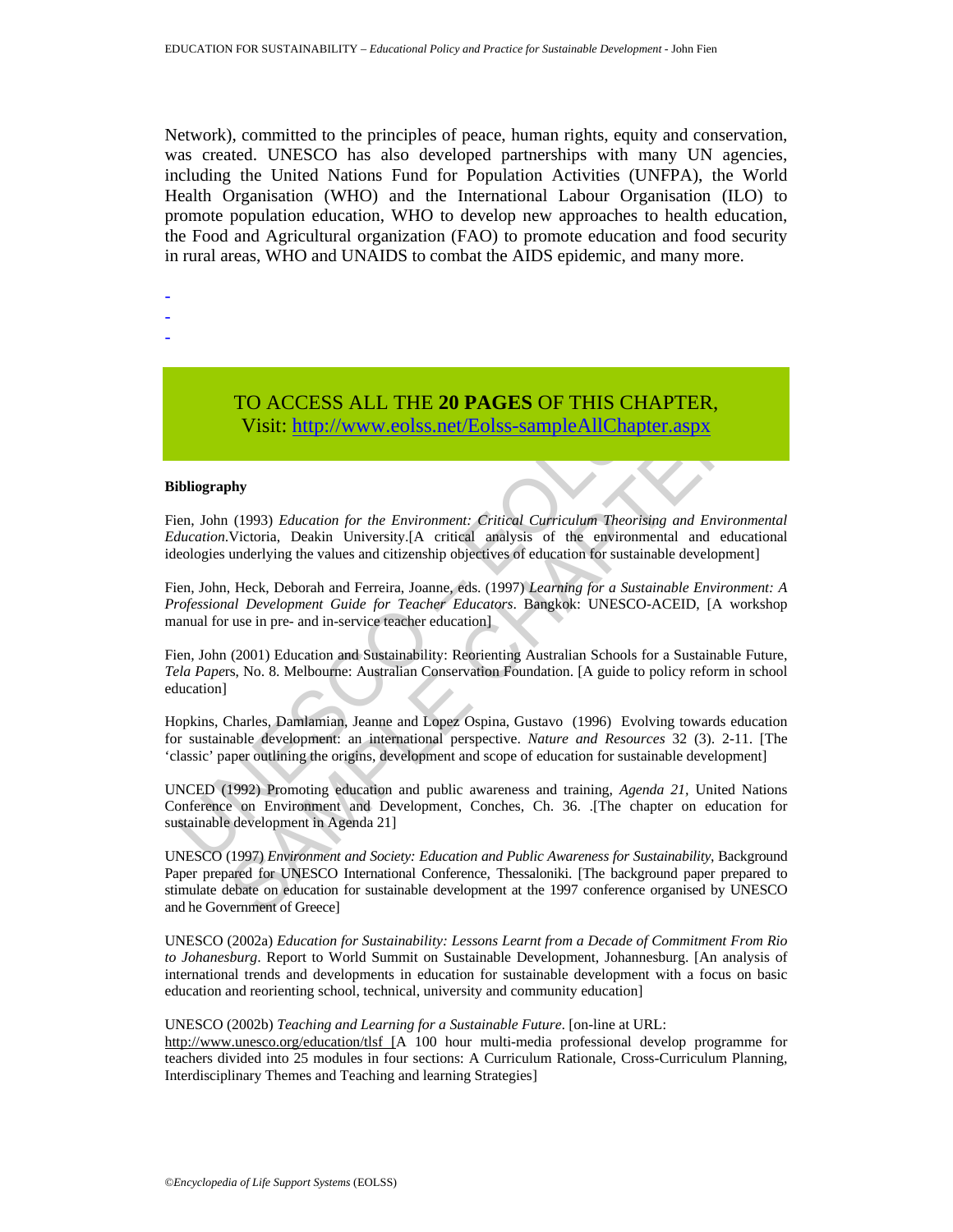Network), committed to the principles of peace, human rights, equity and conservation, was created. UNESCO has also developed partnerships with many UN agencies, including the United Nations Fund for Population Activities (UNFPA), the World Health Organisation (WHO) and the International Labour Organisation (ILO) to promote population education, WHO to develop new approaches to health education, the Food and Agricultural organization (FAO) to promote education and food security in rural areas, WHO and UNAIDS to combat the AIDS epidemic, and many more.

- -
- -
- -

# TO ACCESS ALL THE **20 PAGES** OF THIS CHAPTER, Visit: http://www.eolss.net/Eolss-sampleAllChapter.aspx

#### **Bibliography**

Fien, John (1993) *Education for the Environment: Critical Curriculum Theorising and Environmental Education*.Victoria, Deakin University.[A critical analysis of the environmental and educational ideologies underlying the values and citizenship objectives of education for sustainable development]

Fien, John, Heck, Deborah and Ferreira, Joanne, eds. (1997) *Learning for a Sustainable Environment: A Professional Development Guide for Teacher Educators*. Bangkok: UNESCO-ACEID, [A workshop manual for use in pre- and in-service teacher education]

Fien, John (2001) Education and Sustainability: Reorienting Australian Schools for a Sustainable Future, *Tela Pape*rs, No. 8. Melbourne: Australian Conservation Foundation. [A guide to policy reform in school education]

Hopkins, Charles, Damlamian, Jeanne and Lopez Ospina, Gustavo (1996) Evolving towards education for sustainable development: an international perspective. *Nature and Resources* 32 (3). 2-11. [The 'classic' paper outlining the origins, development and scope of education for sustainable development]

TO ACCESS ALL THE 20 PAGES OF THIS CHA<br>Visit: http://www.eolss.net/Eolss-sampleAllChapter<br>ibliography<br>en. John (1993) Education for the Environment: Critical Curriculum Theorising<br>ducation.Victoria, Deakin University.[A cr UNCED (1992) Promoting education and public awareness and training, *Agenda 21,* United Nations Conference on Environment and Development, Conches, Ch. 36. .[The chapter on education for sustainable development in Agenda 21]

TO ACCESS ALL THE 20 PAGES OF THIS CHAPTER,<br>
Visit: http://www.colss.net/Eolss-sampleAllChapter.aspx<br>
thy<br>
thy<br>
thy<br>
the the multiplication for the Environment: Critical Curriculum Theorising and Environment<br>
Victoria, Dea UNESCO (1997) *Environment and Society: Education and Public Awareness for Sustainability*, Background Paper prepared for UNESCO International Conference, Thessaloniki. [The background paper prepared to stimulate debate on education for sustainable development at the 1997 conference organised by UNESCO and he Government of Greece]

UNESCO (2002a) *Education for Sustainability: Lessons Learnt from a Decade of Commitment From Rio to Johanesburg*. Report to World Summit on Sustainable Development, Johannesburg. [An analysis of international trends and developments in education for sustainable development with a focus on basic education and reorienting school, technical, university and community education]

UNESCO (2002b) *Teaching and Learning for a Sustainable Future*. [on-line at URL:

http://www.unesco.org/education/tlsf [A 100 hour multi-media professional develop programme for teachers divided into 25 modules in four sections: A Curriculum Rationale, Cross-Curriculum Planning, Interdisciplinary Themes and Teaching and learning Strategies]